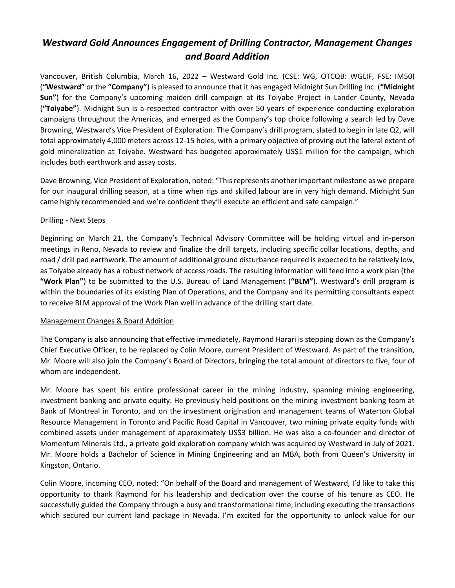## *Westward Gold Announces Engagement of Drilling Contractor, Management Changes and Board Addition*

Vancouver, British Columbia, March 16, 2022 – Westward Gold Inc. (CSE: WG, OTCQB: WGLIF, FSE: IM50) (**"Westward"** or the **"Company"**) is pleased to announce that it has engaged Midnight Sun Drilling Inc. (**"Midnight Sun"**) for the Company's upcoming maiden drill campaign at its Toiyabe Project in Lander County, Nevada (**"Toiyabe"**). Midnight Sun is a respected contractor with over 50 years of experience conducting exploration campaigns throughout the Americas, and emerged as the Company's top choice following a search led by Dave Browning, Westward's Vice President of Exploration. The Company's drill program, slated to begin in late Q2, will total approximately 4,000 meters across 12-15 holes, with a primary objective of proving out the lateral extent of gold mineralization at Toiyabe. Westward has budgeted approximately US\$1 million for the campaign, which includes both earthwork and assay costs.

Dave Browning, Vice President of Exploration, noted: "This represents another important milestone as we prepare for our inaugural drilling season, at a time when rigs and skilled labour are in very high demand. Midnight Sun came highly recommended and we're confident they'll execute an efficient and safe campaign."

## Drilling - Next Steps

Beginning on March 21, the Company's Technical Advisory Committee will be holding virtual and in-person meetings in Reno, Nevada to review and finalize the drill targets, including specific collar locations, depths, and road / drill pad earthwork. The amount of additional ground disturbance required is expected to be relatively low, as Toiyabe already has a robust network of access roads. The resulting information will feed into a work plan (the **"Work Plan"**) to be submitted to the U.S. Bureau of Land Management (**"BLM"**). Westward's drill program is within the boundaries of its existing Plan of Operations, and the Company and its permitting consultants expect to receive BLM approval of the Work Plan well in advance of the drilling start date.

## Management Changes & Board Addition

The Company is also announcing that effective immediately, Raymond Harari is stepping down as the Company's Chief Executive Officer, to be replaced by Colin Moore, current President of Westward. As part of the transition, Mr. Moore will also join the Company's Board of Directors, bringing the total amount of directors to five, four of whom are independent.

Mr. Moore has spent his entire professional career in the mining industry, spanning mining engineering, investment banking and private equity. He previously held positions on the mining investment banking team at Bank of Montreal in Toronto, and on the investment origination and management teams of Waterton Global Resource Management in Toronto and Pacific Road Capital in Vancouver, two mining private equity funds with combined assets under management of approximately US\$3 billion. He was also a co-founder and director of Momentum Minerals Ltd., a private gold exploration company which was acquired by Westward in July of 2021. Mr. Moore holds a Bachelor of Science in Mining Engineering and an MBA, both from Queen's University in Kingston, Ontario.

Colin Moore, incoming CEO, noted: "On behalf of the Board and management of Westward, I'd like to take this opportunity to thank Raymond for his leadership and dedication over the course of his tenure as CEO. He successfully guided the Company through a busy and transformational time, including executing the transactions which secured our current land package in Nevada. I'm excited for the opportunity to unlock value for our